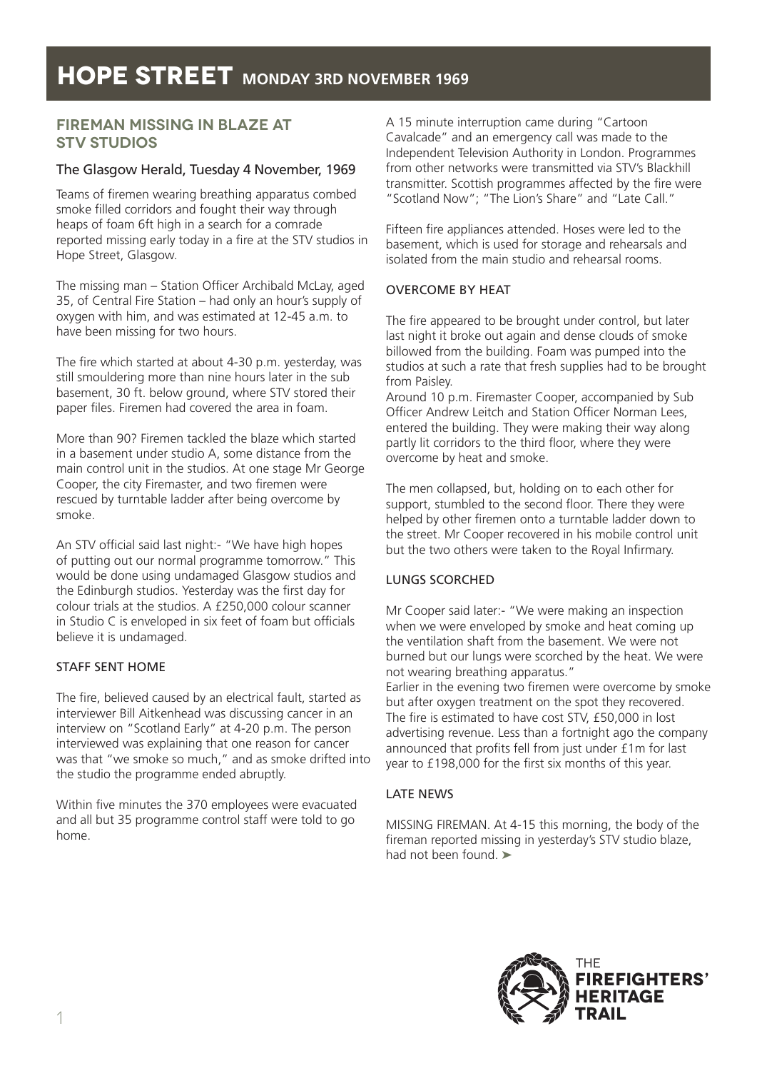## **FiREMAN MISSING IN BLAZE AT STV STUDIOS**

## The Glasgow Herald, Tuesday 4 November, 1969

Teams of firemen wearing breathing apparatus combed smoke filled corridors and fought their way through heaps of foam 6ft high in a search for a comrade reported missing early today in a fire at the STV studios in Hope Street, Glasgow.

The missing man – Station Officer Archibald McLay, aged 35, of Central Fire Station – had only an hour's supply of oxygen with him, and was estimated at 12-45 a.m. to have been missing for two hours.

The fire which started at about 4-30 p.m. yesterday, was still smouldering more than nine hours later in the sub basement, 30 ft. below ground, where STV stored their paper files. Firemen had covered the area in foam.

More than 90? Firemen tackled the blaze which started in a basement under studio A, some distance from the main control unit in the studios. At one stage Mr George Cooper, the city Firemaster, and two firemen were rescued by turntable ladder after being overcome by smoke.

An STV official said last night:- "We have high hopes of putting out our normal programme tomorrow." This would be done using undamaged Glasgow studios and the Edinburgh studios. Yesterday was the first day for colour trials at the studios. A £250,000 colour scanner in Studio C is enveloped in six feet of foam but officials believe it is undamaged.

## STAFF SENT HOME

The fire, believed caused by an electrical fault, started as interviewer Bill Aitkenhead was discussing cancer in an interview on "Scotland Early" at 4-20 p.m. The person interviewed was explaining that one reason for cancer was that "we smoke so much," and as smoke drifted into the studio the programme ended abruptly.

Within five minutes the 370 employees were evacuated and all but 35 programme control staff were told to go home.

A 15 minute interruption came during "Cartoon Cavalcade" and an emergency call was made to the Independent Television Authority in London. Programmes from other networks were transmitted via STV's Blackhill transmitter. Scottish programmes affected by the fire were "Scotland Now"; "The Lion's Share" and "Late Call."

Fifteen fire appliances attended. Hoses were led to the basement, which is used for storage and rehearsals and isolated from the main studio and rehearsal rooms.

## OVERCOME BY HEAT

The fire appeared to be brought under control, but later last night it broke out again and dense clouds of smoke billowed from the building. Foam was pumped into the studios at such a rate that fresh supplies had to be brought from Paisley.

Around 10 p.m. Firemaster Cooper, accompanied by Sub Officer Andrew Leitch and Station Officer Norman Lees, entered the building. They were making their way along partly lit corridors to the third floor, where they were overcome by heat and smoke.

The men collapsed, but, holding on to each other for support, stumbled to the second floor. There they were helped by other firemen onto a turntable ladder down to the street. Mr Cooper recovered in his mobile control unit but the two others were taken to the Royal Infirmary.

## LUNGS SCORCHED

Mr Cooper said later:- "We were making an inspection when we were enveloped by smoke and heat coming up the ventilation shaft from the basement. We were not burned but our lungs were scorched by the heat. We were not wearing breathing apparatus."

Earlier in the evening two firemen were overcome by smoke but after oxygen treatment on the spot they recovered. The fire is estimated to have cost STV, £50,000 in lost advertising revenue. Less than a fortnight ago the company announced that profits fell from just under £1m for last year to £198,000 for the first six months of this year.

## LATE NEWS

MISSING FIREMAN. At 4-15 this morning, the body of the fireman reported missing in yesterday's STV studio blaze, had not been found. ➤

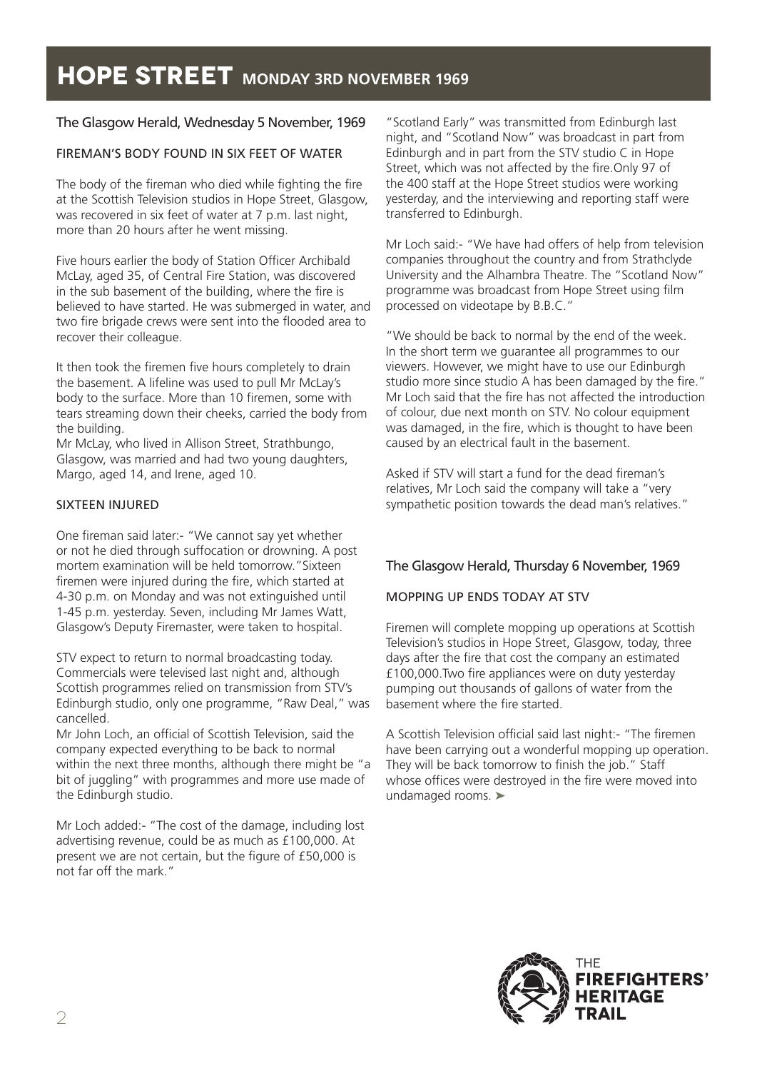## The Glasgow Herald, Wednesday 5 November, 1969

### FIREMAN'S BODY FOUND IN SIX FEET OF WATER

The body of the fireman who died while fighting the fire at the Scottish Television studios in Hope Street, Glasgow, was recovered in six feet of water at 7 p.m. last night, more than 20 hours after he went missing.

Five hours earlier the body of Station Officer Archibald McLay, aged 35, of Central Fire Station, was discovered in the sub basement of the building, where the fire is believed to have started. He was submerged in water, and two fire brigade crews were sent into the flooded area to recover their colleague.

It then took the firemen five hours completely to drain the basement. A lifeline was used to pull Mr McLay's body to the surface. More than 10 firemen, some with tears streaming down their cheeks, carried the body from the building.

Mr McLay, who lived in Allison Street, Strathbungo, Glasgow, was married and had two young daughters, Margo, aged 14, and Irene, aged 10.

#### SIXTEEN INJURED

One fireman said later:- "We cannot say yet whether or not he died through suffocation or drowning. A post mortem examination will be held tomorrow."Sixteen firemen were injured during the fire, which started at 4-30 p.m. on Monday and was not extinguished until 1-45 p.m. yesterday. Seven, including Mr James Watt, Glasgow's Deputy Firemaster, were taken to hospital.

STV expect to return to normal broadcasting today. Commercials were televised last night and, although Scottish programmes relied on transmission from STV's Edinburgh studio, only one programme, "Raw Deal," was cancelled.

Mr John Loch, an official of Scottish Television, said the company expected everything to be back to normal within the next three months, although there might be "a bit of juggling" with programmes and more use made of the Edinburgh studio.

Mr Loch added:- "The cost of the damage, including lost advertising revenue, could be as much as £100,000. At present we are not certain, but the figure of £50,000 is not far off the mark."

"Scotland Early" was transmitted from Edinburgh last night, and "Scotland Now" was broadcast in part from Edinburgh and in part from the STV studio C in Hope Street, which was not affected by the fire.Only 97 of the 400 staff at the Hope Street studios were working yesterday, and the interviewing and reporting staff were transferred to Edinburgh.

Mr Loch said:- "We have had offers of help from television companies throughout the country and from Strathclyde University and the Alhambra Theatre. The "Scotland Now" programme was broadcast from Hope Street using film processed on videotape by B.B.C."

"We should be back to normal by the end of the week. In the short term we guarantee all programmes to our viewers. However, we might have to use our Edinburgh studio more since studio A has been damaged by the fire." Mr Loch said that the fire has not affected the introduction of colour, due next month on STV. No colour equipment was damaged, in the fire, which is thought to have been caused by an electrical fault in the basement.

Asked if STV will start a fund for the dead fireman's relatives, Mr Loch said the company will take a "very sympathetic position towards the dead man's relatives."

## The Glasgow Herald, Thursday 6 November, 1969

## MOPPING UP ENDS TODAY AT STV

Firemen will complete mopping up operations at Scottish Television's studios in Hope Street, Glasgow, today, three days after the fire that cost the company an estimated £100,000.Two fire appliances were on duty yesterday pumping out thousands of gallons of water from the basement where the fire started.

A Scottish Television official said last night:- "The firemen have been carrying out a wonderful mopping up operation. They will be back tomorrow to finish the job." Staff whose offices were destroyed in the fire were moved into undamaged rooms. ➤

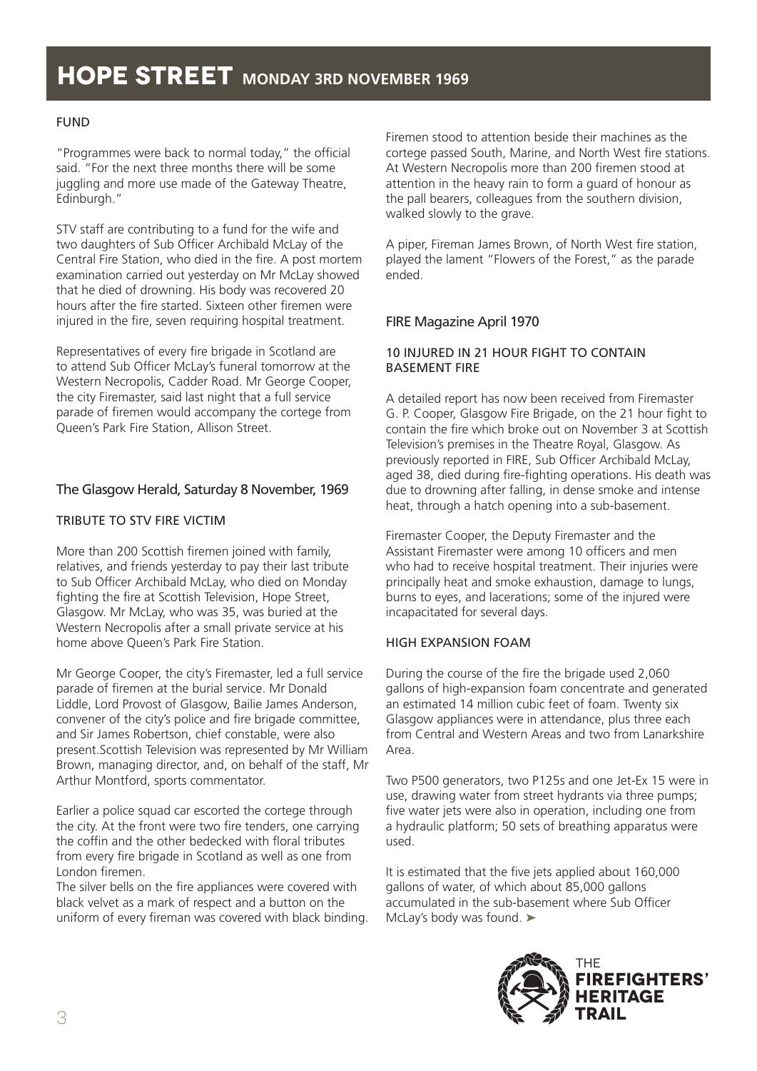## FUND

"Programmes were back to normal today," the official said. "For the next three months there will be some juggling and more use made of the Gateway Theatre, Edinburgh."

STV staff are contributing to a fund for the wife and two daughters of Sub Officer Archibald McLay of the Central Fire Station, who died in the fire. A post mortem examination carried out yesterday on Mr McLay showed that he died of drowning. His body was recovered 20 hours after the fire started. Sixteen other firemen were injured in the fire, seven requiring hospital treatment.

Representatives of every fire brigade in Scotland are to attend Sub Officer McLay's funeral tomorrow at the Western Necropolis, Cadder Road. Mr George Cooper, the city Firemaster, said last night that a full service parade of firemen would accompany the cortege from Queen's Park Fire Station, Allison Street.

## The Glasgow Herald, Saturday 8 November, 1969

#### TRIBUTE TO STV FIRE VICTIM

More than 200 Scottish firemen joined with family, relatives, and friends yesterday to pay their last tribute to Sub Officer Archibald McLay, who died on Monday fighting the fire at Scottish Television, Hope Street, Glasgow. Mr McLay, who was 35, was buried at the Western Necropolis after a small private service at his home above Queen's Park Fire Station.

Mr George Cooper, the city's Firemaster, led a full service parade of firemen at the burial service. Mr Donald Liddle, Lord Provost of Glasgow, Bailie James Anderson, convener of the city's police and fire brigade committee, and Sir James Robertson, chief constable, were also present.Scottish Television was represented by Mr William Brown, managing director, and, on behalf of the staff, Mr Arthur Montford, sports commentator.

Earlier a police squad car escorted the cortege through the city. At the front were two fire tenders, one carrying the coffin and the other bedecked with floral tributes from every fire brigade in Scotland as well as one from London firemen.

The silver bells on the fire appliances were covered with black velvet as a mark of respect and a button on the uniform of every fireman was covered with black binding. Firemen stood to attention beside their machines as the cortege passed South, Marine, and North West fire stations. At Western Necropolis more than 200 firemen stood at attention in the heavy rain to form a guard of honour as the pall bearers, colleagues from the southern division, walked slowly to the grave.

A piper, Fireman James Brown, of North West fire station, played the lament "Flowers of the Forest," as the parade ended.

#### FIRE Magazine April 1970

#### 10 INJURED IN 21 HOUR FIGHT TO CONTAIN BASEMENT FIRE

A detailed report has now been received from Firemaster G. P. Cooper, Glasgow Fire Brigade, on the 21 hour fight to contain the fire which broke out on November 3 at Scottish Television's premises in the Theatre Royal, Glasgow. As previously reported in FIRE, Sub Officer Archibald McLay, aged 38, died during fire-fighting operations. His death was due to drowning after falling, in dense smoke and intense heat, through a hatch opening into a sub-basement.

Firemaster Cooper, the Deputy Firemaster and the Assistant Firemaster were among 10 officers and men who had to receive hospital treatment. Their injuries were principally heat and smoke exhaustion, damage to lungs, burns to eyes, and lacerations; some of the injured were incapacitated for several days.

#### HIGH EXPANSION FOAM

During the course of the fire the brigade used 2,060 gallons of high-expansion foam concentrate and generated an estimated 14 million cubic feet of foam. Twenty six Glasgow appliances were in attendance, plus three each from Central and Western Areas and two from Lanarkshire Area.

Two P500 generators, two P125s and one Jet-Ex 15 were in use, drawing water from street hydrants via three pumps; five water jets were also in operation, including one from a hydraulic platform; 50 sets of breathing apparatus were used.

It is estimated that the five jets applied about 160,000 gallons of water, of which about 85,000 gallons accumulated in the sub-basement where Sub Officer McLay's body was found. ➤

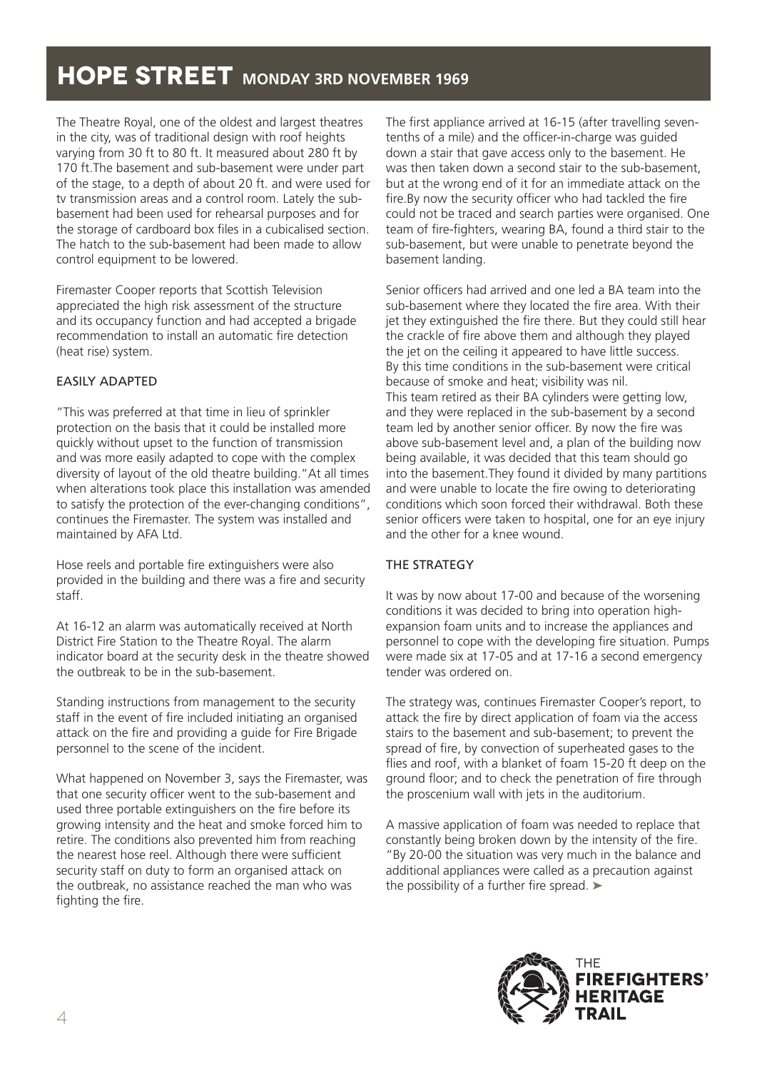The Theatre Royal, one of the oldest and largest theatres in the city, was of traditional design with roof heights varying from 30 ft to 80 ft. It measured about 280 ft by 170 ft.The basement and sub-basement were under part of the stage, to a depth of about 20 ft. and were used for tv transmission areas and a control room. Lately the subbasement had been used for rehearsal purposes and for the storage of cardboard box files in a cubicalised section. The hatch to the sub-basement had been made to allow control equipment to be lowered.

Firemaster Cooper reports that Scottish Television appreciated the high risk assessment of the structure and its occupancy function and had accepted a brigade recommendation to install an automatic fire detection (heat rise) system.

#### EASILY ADAPTED

"This was preferred at that time in lieu of sprinkler protection on the basis that it could be installed more quickly without upset to the function of transmission and was more easily adapted to cope with the complex diversity of layout of the old theatre building."At all times when alterations took place this installation was amended to satisfy the protection of the ever-changing conditions", continues the Firemaster. The system was installed and maintained by AFA Ltd.

Hose reels and portable fire extinguishers were also provided in the building and there was a fire and security staff.

At 16-12 an alarm was automatically received at North District Fire Station to the Theatre Royal. The alarm indicator board at the security desk in the theatre showed the outbreak to be in the sub-basement.

Standing instructions from management to the security staff in the event of fire included initiating an organised attack on the fire and providing a guide for Fire Brigade personnel to the scene of the incident.

What happened on November 3, says the Firemaster, was that one security officer went to the sub-basement and used three portable extinguishers on the fire before its growing intensity and the heat and smoke forced him to retire. The conditions also prevented him from reaching the nearest hose reel. Although there were sufficient security staff on duty to form an organised attack on the outbreak, no assistance reached the man who was fighting the fire.

The first appliance arrived at 16-15 (after travelling seventenths of a mile) and the officer-in-charge was guided down a stair that gave access only to the basement. He was then taken down a second stair to the sub-basement, but at the wrong end of it for an immediate attack on the fire.By now the security officer who had tackled the fire could not be traced and search parties were organised. One team of fire-fighters, wearing BA, found a third stair to the sub-basement, but were unable to penetrate beyond the basement landing.

Senior officers had arrived and one led a BA team into the sub-basement where they located the fire area. With their jet they extinguished the fire there. But they could still hear the crackle of fire above them and although they played the jet on the ceiling it appeared to have little success. By this time conditions in the sub-basement were critical because of smoke and heat; visibility was nil. This team retired as their BA cylinders were getting low, and they were replaced in the sub-basement by a second team led by another senior officer. By now the fire was above sub-basement level and, a plan of the building now being available, it was decided that this team should go into the basement.They found it divided by many partitions and were unable to locate the fire owing to deteriorating conditions which soon forced their withdrawal. Both these senior officers were taken to hospital, one for an eye injury and the other for a knee wound.

#### THE STRATEGY

It was by now about 17-00 and because of the worsening conditions it was decided to bring into operation highexpansion foam units and to increase the appliances and personnel to cope with the developing fire situation. Pumps were made six at 17-05 and at 17-16 a second emergency tender was ordered on.

The strategy was, continues Firemaster Cooper's report, to attack the fire by direct application of foam via the access stairs to the basement and sub-basement; to prevent the spread of fire, by convection of superheated gases to the flies and roof, with a blanket of foam 15-20 ft deep on the ground floor; and to check the penetration of fire through the proscenium wall with jets in the auditorium.

A massive application of foam was needed to replace that constantly being broken down by the intensity of the fire. "By 20-00 the situation was very much in the balance and additional appliances were called as a precaution against the possibility of a further fire spread. ➤

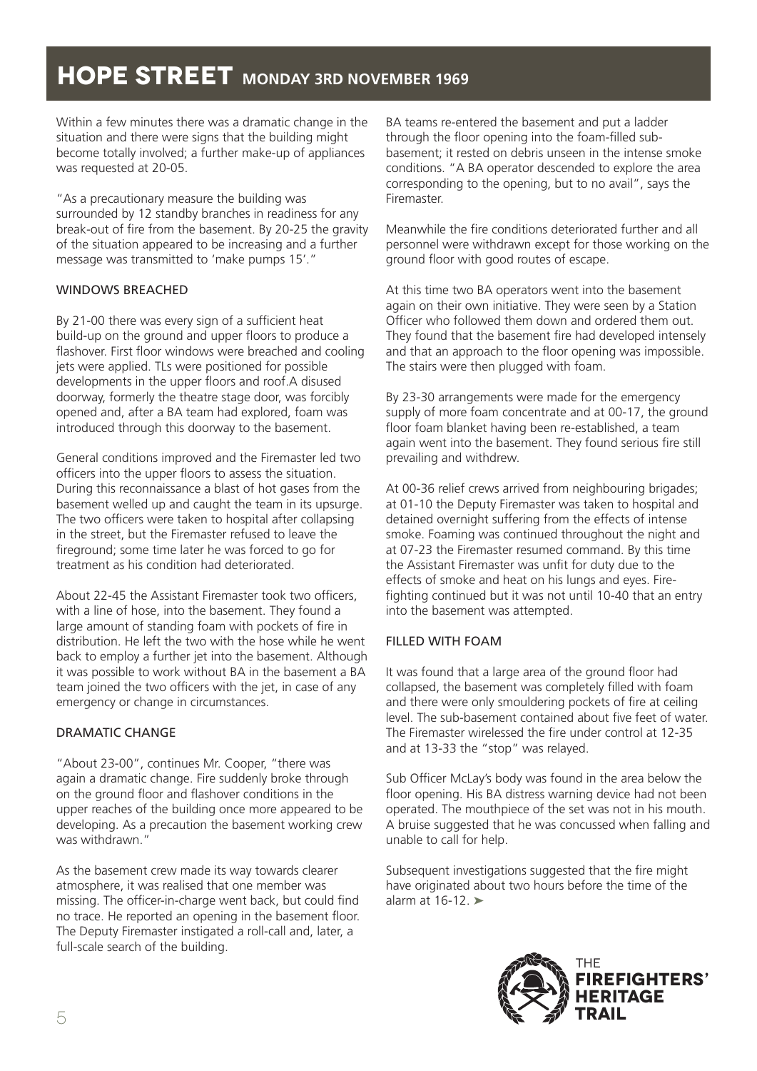Within a few minutes there was a dramatic change in the situation and there were signs that the building might become totally involved; a further make-up of appliances was requested at 20-05.

"As a precautionary measure the building was surrounded by 12 standby branches in readiness for any break-out of fire from the basement. By 20-25 the gravity of the situation appeared to be increasing and a further message was transmitted to 'make pumps 15'."

#### WINDOWS BREACHED

By 21-00 there was every sign of a sufficient heat build-up on the ground and upper floors to produce a flashover. First floor windows were breached and cooling jets were applied. TLs were positioned for possible developments in the upper floors and roof.A disused doorway, formerly the theatre stage door, was forcibly opened and, after a BA team had explored, foam was introduced through this doorway to the basement.

General conditions improved and the Firemaster led two officers into the upper floors to assess the situation. During this reconnaissance a blast of hot gases from the basement welled up and caught the team in its upsurge. The two officers were taken to hospital after collapsing in the street, but the Firemaster refused to leave the fireground; some time later he was forced to go for treatment as his condition had deteriorated.

About 22-45 the Assistant Firemaster took two officers, with a line of hose, into the basement. They found a large amount of standing foam with pockets of fire in distribution. He left the two with the hose while he went back to employ a further jet into the basement. Although it was possible to work without BA in the basement a BA team joined the two officers with the jet, in case of any emergency or change in circumstances.

## DRAMATIC CHANGE

"About 23-00", continues Mr. Cooper, "there was again a dramatic change. Fire suddenly broke through on the ground floor and flashover conditions in the upper reaches of the building once more appeared to be developing. As a precaution the basement working crew was withdrawn."

As the basement crew made its way towards clearer atmosphere, it was realised that one member was missing. The officer-in-charge went back, but could find no trace. He reported an opening in the basement floor. The Deputy Firemaster instigated a roll-call and, later, a full-scale search of the building.

BA teams re-entered the basement and put a ladder through the floor opening into the foam-filled subbasement; it rested on debris unseen in the intense smoke conditions. "A BA operator descended to explore the area corresponding to the opening, but to no avail", says the Firemaster.

Meanwhile the fire conditions deteriorated further and all personnel were withdrawn except for those working on the ground floor with good routes of escape.

At this time two BA operators went into the basement again on their own initiative. They were seen by a Station Officer who followed them down and ordered them out. They found that the basement fire had developed intensely and that an approach to the floor opening was impossible. The stairs were then plugged with foam.

By 23-30 arrangements were made for the emergency supply of more foam concentrate and at 00-17, the ground floor foam blanket having been re-established, a team again went into the basement. They found serious fire still prevailing and withdrew.

At 00-36 relief crews arrived from neighbouring brigades; at 01-10 the Deputy Firemaster was taken to hospital and detained overnight suffering from the effects of intense smoke. Foaming was continued throughout the night and at 07-23 the Firemaster resumed command. By this time the Assistant Firemaster was unfit for duty due to the effects of smoke and heat on his lungs and eyes. Firefighting continued but it was not until 10-40 that an entry into the basement was attempted.

## FILLED WITH FOAM

It was found that a large area of the ground floor had collapsed, the basement was completely filled with foam and there were only smouldering pockets of fire at ceiling level. The sub-basement contained about five feet of water. The Firemaster wirelessed the fire under control at 12-35 and at 13-33 the "stop" was relayed.

Sub Officer McLay's body was found in the area below the floor opening. His BA distress warning device had not been operated. The mouthpiece of the set was not in his mouth. A bruise suggested that he was concussed when falling and unable to call for help.

Subsequent investigations suggested that the fire might have originated about two hours before the time of the alarm at  $16-12.$